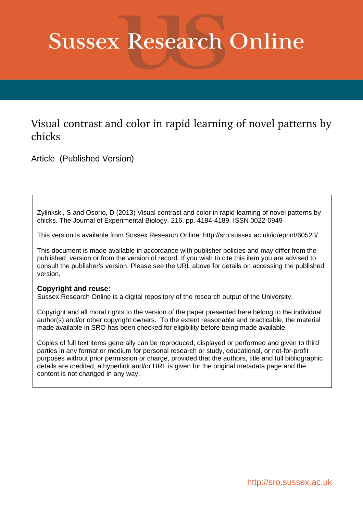# **Sussex Research Online**

## Visual contrast and color in rapid learning of novel patterns by chicks

Article (Published Version)

Zylinkski, S and Osorio, D (2013) Visual contrast and color in rapid learning of novel patterns by chicks. The Journal of Experimental Biology, 216. pp. 4184-4189. ISSN 0022-0949

This version is available from Sussex Research Online: http://sro.sussex.ac.uk/id/eprint/60523/

This document is made available in accordance with publisher policies and may differ from the published version or from the version of record. If you wish to cite this item you are advised to consult the publisher's version. Please see the URL above for details on accessing the published version.

## **Copyright and reuse:**

Sussex Research Online is a digital repository of the research output of the University.

Copyright and all moral rights to the version of the paper presented here belong to the individual author(s) and/or other copyright owners. To the extent reasonable and practicable, the material made available in SRO has been checked for eligibility before being made available.

Copies of full text items generally can be reproduced, displayed or performed and given to third parties in any format or medium for personal research or study, educational, or not-for-profit purposes without prior permission or charge, provided that the authors, title and full bibliographic details are credited, a hyperlink and/or URL is given for the original metadata page and the content is not changed in any way.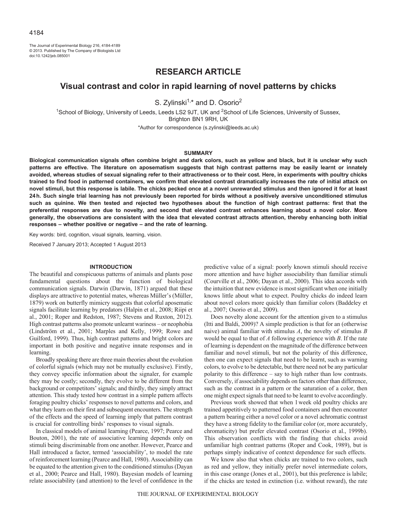The Journal of Experimental Biology 216, 4184-4189 © 2013. Published by The Company of Biologists Ltd doi:10.1242/jeb.085001

## **RESEARCH ARTICLE**

### **Visual contrast and color in rapid learning of novel patterns by chicks**

S. Zylinski<sup>1,\*</sup> and D. Osorio<sup>2</sup>

<sup>1</sup>School of Biology, University of Leeds, Leeds LS2 9JT, UK and <sup>2</sup>School of Life Sciences, University of Sussex, Brighton BN1 9RH, UK

\*Author for correspondence (s.zylinski@leeds.ac.uk)

#### **SUMMARY**

**Biological communication signals often combine bright and dark colors, such as yellow and black, but it is unclear why such patterns are effective. The literature on aposematism suggests that high contrast patterns may be easily learnt or innately avoided, whereas studies of sexual signaling refer to their attractiveness or to their cost. Here, in experiments with poultry chicks trained to find food in patterned containers, we confirm that elevated contrast dramatically increases the rate of initial attack on novel stimuli, but this response is labile. The chicks pecked once at a novel unrewarded stimulus and then ignored it for at least 24h. Such single trial learning has not previously been reported for birds without a positively aversive unconditioned stimulus such as quinine. We then tested and rejected two hypotheses about the function of high contrast patterns: first that the preferential responses are due to novelty, and second that elevated contrast enhances learning about a novel color. More generally, the observations are consistent with the idea that elevated contrast attracts attention, thereby enhancing both initial responses – whether positive or negative – and the rate of learning.**

Key words: bird, cognition, visual signals, learning, vision.

Received 7 January 2013; Accepted 1 August 2013

#### **INTRODUCTION**

The beautiful and conspicuous patterns of animals and plants pose fundamental questions about the function of biological communication signals. Darwin (Darwin, 1871) argued that these displays are attractive to potential mates, whereas Müller's (Müller, 1879) work on butterfly mimicry suggests that colorful aposematic signals facilitate learning by predators (Halpin et al., 2008; Riipi et al., 2001; Roper and Redston, 1987; Stevens and Ruxton, 2012). High contrast patterns also promote unlearnt wariness – or neophobia (Lindström et al., 2001; Marples and Kelly, 1999; Rowe and Guilford, 1999). Thus, high contrast patterns and bright colors are important in both positive and negative innate responses and in learning.

Broadly speaking there are three main theories about the evolution of colorful signals (which may not be mutually exclusive). Firstly, they convey specific information about the signaler, for example they may be costly; secondly, they evolve to be different from the background or competitors' signals; and thirdly, they simply attract attention. This study tested how contrast in a simple pattern affects foraging poultry chicks' responses to novel patterns and colors, and what they learn on their first and subsequent encounters. The strength of the effects and the speed of learning imply that pattern contrast is crucial for controlling birds' responses to visual signals.

In classical models of animal learning (Pearce, 1997; Pearce and Bouton, 2001), the rate of associative learning depends only on stimuli being discriminable from one another. However, Pearce and Hall introduced a factor, termed 'associability', to model the rate of reinforcement learning (Pearce and Hall, 1980). Associability can be equated to the attention given to the conditioned stimulus (Dayan et al., 2000; Pearce and Hall, 1980). Bayesian models of learning relate associability (and attention) to the level of confidence in the

predictive value of a signal: poorly known stimuli should receive more attention and have higher associability than familiar stimuli (Courville et al., 2006; Dayan et al., 2000). This idea accords with the intuition that new evidence is most significant when one initially knows little about what to expect. Poultry chicks do indeed learn about novel colors more quickly than familiar colors (Baddeley et al., 2007; Osorio et al., 2009).

Does novelty alone account for the attention given to a stimulus (Itti and Baldi, 2009)? A simple prediction is that for an (otherwise naive) animal familiar with stimulus *A*, the novelty of stimulus *B* would be equal to that of *A* following experience with *B*. If the rate of learning is dependent on the magnitude of the difference between familiar and novel stimuli, but not the polarity of this difference, then one can expect signals that need to be learnt, such as warning colors, to evolve to be detectable, but there need not be any particular polarity to this difference – say to high rather than low contrasts. Conversely, if associability depends on factors other than difference, such as the contrast in a pattern or the saturation of a color, then one might expect signals that need to be learnt to evolve accordingly.

Previous work showed that when 1week old poultry chicks are trained appetitively to patterned food containers and then encounter a pattern bearing either a novel color or a novel achromatic contrast they have a strong fidelity to the familiar color (or, more accurately, chromaticity) but prefer elevated contrast (Osorio et al., 1999b). This observation conflicts with the finding that chicks avoid unfamiliar high contrast patterns (Roper and Cook, 1989), but is perhaps simply indicative of context dependence for such effects.

We know also that when chicks are trained to two colors, such as red and yellow, they initially prefer novel intermediate colors, in this case orange (Jones et al., 2001), but this preference is labile; if the chicks are tested in extinction (i.e. without reward), the rate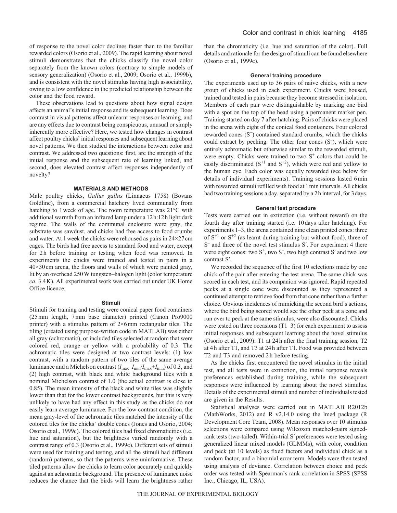of response to the novel color declines faster than to the familiar rewarded colors (Osorio et al., 2009). The rapid learning about novel stimuli demonstrates that the chicks classify the novel color separately from the known colors (contrary to simple models of sensory generalization) (Osorio et al., 2009; Osorio et al., 1999b), and is consistent with the novel stimulus having high associability, owing to a low confidence in the predicted relationship between the color and the food reward.

These observations lead to questions about how signal design affects an animal's initial response and its subsequent learning. Does contrast in visual patterns affect unlearnt responses or learning, and are any effects due to contrast being conspicuous, unusual or simply inherently more effective? Here, we tested how changes in contrast affect poultry chicks' initial responses and subsequent learning about novel patterns. We then studied the interactions between color and contrast. We addressed two questions: first, are the strength of the initial response and the subsequent rate of learning linked, and second, does elevated contrast affect responses independently of novelty?

#### **MATERIALS AND METHODS**

Male poultry chicks, *Gallus gallus* (Linnaeus 1758) (Bovans Goldline), from a commercial hatchery lived communally from hatching to 1week of age. The room temperature was 21°C with additional warmth from an infrared lamp under a 12h:12h light:dark regime. The walls of the communal enclosure were gray, the substrate was sawdust, and chicks had free access to food crumbs and water. At 1 week the chicks were rehoused as pairs in  $24 \times 27$  cm cages. The birds had free access to standard food and water, except for 2h before training or testing when food was removed. In experiments the chicks were trained and tested in pairs in a 40×30cm arena, the floors and walls of which were painted gray, lit by an overhead 250W tungsten–halogen light (color temperature *ca*. 3.4K). All experimental work was carried out under UK Home Office licence.

#### **Stimuli**

Stimuli for training and testing were conical paper food containers (25mm length, 7mm base diameter) printed (Canon Pro9000 printer) with a stimulus pattern of 2×6mm rectangular tiles. The tiling (created using purpose-written code in MATLAB) was either all gray (achromatic), or included tiles selected at random that were colored red, orange or yellow with a probability of 0.3. The achromatic tiles were designed at two contrast levels: (1) low contrast, with a random pattern of two tiles of the same average luminance and a Michelson contrast (*I*max–*I*min/*I*max+*I*min) of 0.3, and (2) high contrast, with black and white background tiles with a nominal Michelson contrast of 1.0 (the actual contrast is close to 0.85). The mean intensity of the black and white tiles was slightly lower than that for the lower contrast backgrounds, but this is very unlikely to have had any effect in this study as the chicks do not easily learn average luminance. For the low contrast condition, the mean gray-level of the achromatic tiles matched the intensity of the colored tiles for the chicks' double cones (Jones and Osorio, 2004; Osorio et al., 1999c). The colored tiles had fixed chromaticities (i.e. hue and saturation), but the brightness varied randomly with a contrast range of 0.3 (Osorio et al., 1999c). Different sets of stimuli were used for training and testing, and all the stimuli had different (random) patterns, so that the patterns were uninformative. These tiled patterns allow the chicks to learn color accurately and quickly against an achromatic background. The presence of luminance noise reduces the chance that the birds will learn the brightness rather than the chromaticity (i.e. hue and saturation of the color). Full details and rationale for the design of stimuli can be found elsewhere (Osorio et al., 1999c).

#### **General training procedure**

The experiments used up to 36 pairs of naive chicks, with a new group of chicks used in each experiment. Chicks were housed, trained and tested in pairs because they become stressed in isolation. Members of each pair were distinguishable by marking one bird with a spot on the top of the head using a permanent marker pen. Training started on day 7 after hatching. Pairs of chicks were placed in the arena with eight of the conical food containers. Four colored rewarded cones  $(S^+)$  contained standard crumbs, which the chicks could extract by pecking. The other four cones (S– ), which were entirely achromatic but otherwise similar to the rewarded stimuli, were empty. Chicks were trained to two  $S<sup>+</sup>$  colors that could be easily discriminated  $(S<sup>+1</sup>$  and  $S<sup>+2</sup>$ ), which were red and yellow to the human eye. Each color was equally rewarded (see below for details of individual experiments). Training sessions lasted 6min with rewarded stimuli refilled with food at 1 min intervals. All chicks had two training sessions a day, separated by a 2h interval, for 3days.

#### **General test procedure**

Tests were carried out in extinction (i.e. without reward) on the fourth day after training started (i.e. 10days after hatching). For experiments 1–3, the arena contained nine clean printed cones: three of  $S^{+1}$  or  $S^{+2}$  (as learnt during training but without food), three of S<sup>-</sup> and three of the novel test stimulus S'. For experiment 4 there were eight cones: two  $S^+$ , two  $S^-$ , two high contrast S' and two low contrast S′.

We recorded the sequence of the first 10 selections made by one chick of the pair after entering the test arena. The same chick was scored in each test, and its companion was ignored. Rapid repeated pecks at a single cone were discounted as they represented a continued attempt to retrieve food from that cone rather than a further choice. Obvious incidences of mimicking the second bird's actions, where the bird being scored would see the other peck at a cone and run over to peck at the same stimulus, were also discounted. Chicks were tested on three occasions (T1–3) for each experiment to assess initial responses and subsequent learning about the novel stimulus (Osorio et al., 2009): T1 at 24h after the final training session, T2 at 4h after T1, and T3 at 24h after T1. Food was provided between T2 and T3 and removed 2h before testing.

As the chicks first encountered the novel stimulus in the initial test, and all tests were in extinction, the initial response reveals preferences established during training, while the subsequent responses were influenced by learning about the novel stimulus. Details of the experimental stimuli and number of individuals tested are given in the Results.

Statistical analyses were carried out in MATLAB R2012b (MathWorks, 2012) and R v2.14.0 using the lme4 package (R Development Core Team, 2008). Mean responses over 10 stimulus selections were compared using Wilcoxon matched-pairs signedrank tests (two-tailed). Within-trial S′ preferences were tested using generalized linear mixed models (GLMMs), with color, condition and peck (at 10 levels) as fixed factors and individual chick as a random factor, and a binomial error term. Models were then tested using analysis of deviance. Correlation between choice and peck order was tested with Spearman's rank correlation in SPSS (SPSS Inc., Chicago, IL, USA).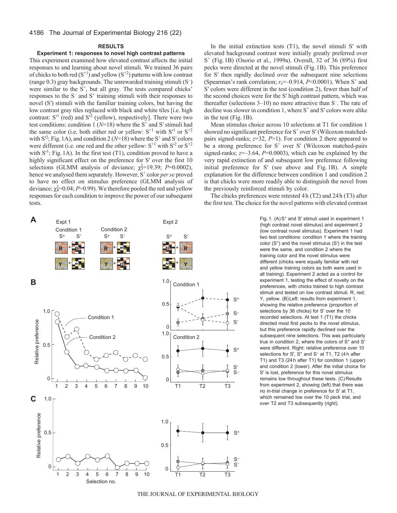#### 4186 The Journal of Experimental Biology 216 (22)

#### **RESULTS**

#### **Experiment 1: responses to novel high contrast patterns**

This experiment examined how elevated contrast affects the initial responses to and learning about novel stimuli. We trained 36 pairs of chicks to both red  $(S^{+1})$  and yellow  $(S^{+2})$  patterns with low contrast (range 0.3) gray backgrounds. The unrewarded training stimuli (S– ) were similar to the  $S^+$ , but all gray. The tests compared chicks' responses to the  $S^-$  and  $S^+$  training stimuli with their responses to novel (S′) stimuli with the familiar training colors, but having the low contrast gray tiles replaced with black and white tiles [i.e. high contrast:  $S^1$  (red) and  $S^2$  (yellow), respectively]. There were two test conditions: condition 1 ( $N=18$ ) where the S<sup>+</sup> and S' stimuli had the same color (i.e. both either red or yellow:  $S<sup>+1</sup>$  with  $S<sup>+1</sup>$  or  $S<sup>+2</sup>$ with  $S^2$ ; Fig. 1A), and condition 2 ( $N=18$ ) where the  $S^+$  and S' colors were different (i.e. one red and the other yellow:  $S^{+1}$  with  $S^2$  or  $S^{+2}$ with  $S'$ <sup>1</sup>; Fig. 1A). In the first test (T1), condition proved to have a highly significant effect on the preference for S' over the first 10 selections (GLMM analysis of deviance;  $\chi^2$ =19.39; *P*=0.0002), hence we analysed them separately. However, S<sup>+</sup> color *per se* proved to have no effect on stimulus preference (GLMM analysis of deviance;  $\chi^2_4$ =0.04; *P*=0.99). We therefore pooled the red and yellow responses for each condition to improve the power of our subsequent tests.

 $\mathsf{A}$  Expt 1

Condition 1 Condition 2

In the initial extinction tests  $(T1)$ , the novel stimuli S' with elevated background contrast were initially greatly preferred over S+ (Fig.1B) (Osorio et al., 1999a). Overall, 32 of 36 (89%) first pecks were directed at the novel stimuli (Fig.1B). This preference for S′ then rapidly declined over the subsequent nine selections (Spearman's rank correlation;  $r_s$ =–0.914,  $P$ <0.0001). When S<sup>+</sup> and S′ colors were different in the test (condition 2), fewer than half of the second choices were for the S′ high contrast pattern, which was thereafter (selections 3–10) no more attractive than S– . The rate of decline was slower in condition 1, where  $S^+$  and  $S'$  colors were alike in the test (Fig.1B).

Mean stimulus choice across 10 selections at T1 for condition 1 showed no significant preference for  $S^+$  over S' (Wilcoxon matchedpairs signed-ranks; *z*=32, *P*>1). For condition 2 there appeared to be a strong preference for  $S^+$  over S' (Wilcoxon matched-pairs signed-ranks;  $z=-3.64$ ,  $P=0.0003$ ), which can be explained by the very rapid extinction of and subsequent low preference following initial preference for S′ (see above and Fig. 1B). A simple explanation for the difference between condition 1 and condition 2 is that chicks were more readily able to distinguish the novel from the previously reinforced stimuli by color.

The chicks preferences were retested 4h (T2) and 24h (T3) after the first test. The choice for the novel patterns with elevated contrast

> S+ S– S- $S<sub>i</sub>$ S–  $S'$ Fig. 1.  $(A)S<sup>+</sup>$  and S' stimuli used in experiment 1 (high contrast novel stimulus) and experiment 2 (low contrast novel stimulus). Experiment 1 had two test conditions: condition 1 where the training color  $(S<sup>+</sup>)$  and the novel stimulus  $(S')$  in the test were the same, and condition 2 where the training color and the novel stimulus were different (chicks were equally familiar with red and yellow training colors as both were used in all training). Experiment 2 acted as a control for experiment 1, testing the effect of novelty on the preferences, with chicks trained to high contrast stimuli and tested on low contrast stimuli. R, red; Y, yellow. (B) Left: results from experiment 1, showing the relative preference (proportion of selections by 36 chicks) for S′ over the 10 recorded selections. At test 1 (T1) the chicks directed most first pecks to the novel stimulus, but this preference rapidly declined over the subsequent nine selections. This was particularly true in condition 2, where the colors of  $S<sup>+</sup>$  and  $S'$ were different. Right: relative preference over 10 selections for S',  $S^+$  and  $S^-$  at T1, T2 (4 h after T1) and T3 (24 h after T1) for condition 1 (upper) and condition 2 (lower). After the initial choice for S′ is lost, preference for this novel stimulus remains low throughout these tests. (C) Results from experiment 2, showing (left) that there was no in-trial change in preference for S′ at T1, which remained low over the 10 peck trial, and over T2 and T3 subsequently (right).



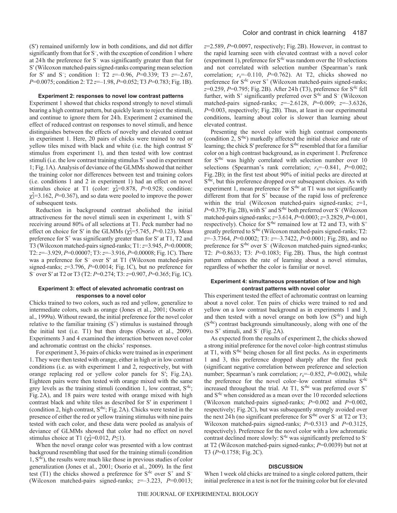(S′) remained uniformly low in both conditions, and did not differ significantly from that for S<sup>-</sup>, with the exception of condition 1 where at 24h the preference for S– was significantly greater than that for S′ (Wilcoxon matched-pairs signed-ranks comparing mean selection for S′ and S– ; condition 1: T2 *z*=–0.96, *P*=0.339; T3 *z*=–2.67, *P*=0.0075; condition 2: T2 *z*=–1.98, *P*=0.052; T3 *P*=0.783; Fig.1B).

#### **Experiment 2: responses to novel low contrast patterns**

Experiment 1 showed that chicks respond strongly to novel stimuli bearing a high contrast pattern, but quickly learn to reject the stimuli, and continue to ignore them for 24h. Experiment 2 examined the effect of reduced contrast on responses to novel stimuli, and hence distinguishes between the effects of novelty and elevated contrast in experiment 1. Here, 20 pairs of chicks were trained to red or yellow tiles mixed with black and white (i.e. the high contrast S′ stimulus from experiment 1), and then tested with low contrast stimuli (i.e. the low contrast training stimulus  $S<sup>+</sup>$  used in experiment 1; Fig.1A). Analysis of deviance of the GLMMs showed that neither the training color nor differences between test and training colors (i.e. conditions 1 and 2 in experiment 1) had an effect on novel stimulus choice at T1 (color:  $\chi_4^2=0.878$ , *P*=0.928; condition:  $\chi_3^2$ =3.162, *P*=0.367), and so data were pooled to improve the power of subsequent tests.

Reduction in background contrast abolished the initial attractiveness for the novel stimuli seen in experiment 1, with  $S^+$ receiving around 80% of all selections at T1. Peck number had no effect on choice for S' in the GLMMs  $(\chi_3^2=5.745, P=0.123)$ . Mean preference for  $S^+$  was significantly greater than for  $S'$  at T1, T2 and T3 (Wilcoxon matched-pairs signed-ranks; T1: *z*=3.945, *P*=0.00008; T2: *z*=–3.929, *P*=0.00007; T3: *z*=–3.916, *P*=0.00008; Fig.1C). There was a preference for S<sup>-</sup> over S' at T1 (Wilcoxon matched-pairs signed-ranks; *z*=3.796, *P*=0.0014; Fig.1C), but no preference for S– over S′ at T2 or T3 (T2: *P*=0.274; T3: *z*=0.907, *P*=0.365; Fig.1C).

#### **Experiment 3: effect of elevated achromatic contrast on responses to a novel color**

Chicks trained to two colors, such as red and yellow, generalize to intermediate colors, such as orange (Jones et al., 2001; Osorio et al., 1999a). Without reward, the initial preference for the novel color relative to the familiar training  $(S^+)$  stimulus is sustained through the initial test (i.e. T1) but then drops (Osorio et al., 2009). Experiments 3 and 4 examined the interaction between novel color and achromatic contrast on the chicks' responses.

For experiment 3, 36 pairs of chicks were trained as in experiment 1. They were then tested with orange, either in high or in low contrast conditions (i.e. as with experiment 1 and 2, respectively, but with orange replacing red or yellow color panels for S′; Fig. 2A). Eighteen pairs were then tested with orange mixed with the same grey levels as the training stimuli (condition 1, low contrast,  $S^{(l)}$ ; Fig.2A), and 18 pairs were tested with orange mixed with high contrast black and white tiles as described for S′ in experiment 1 (condition 2, high contrast,  $S<sup>h</sup>$ ; Fig. 2A). Chicks were tested in the presence of either the red or yellow training stimulus with nine pairs tested with each color, and these data were pooled as analysis of deviance of GLMMs showed that color had no effect on novel stimulus choice at T1 ( $\chi^2$ =0.012, *P*≤1).

When the novel orange color was presented with a low contrast background resembling that used for the training stimuli (condition  $1, S<sup>1c</sup>$ , the results were much like those in previous studies of color generalization (Jones et al., 2001; Osorio et al., 2009). In the first test (T1) the chicks showed a preference for  $S<sup>l</sup>$  over  $S<sup>+</sup>$  and  $S<sup>-</sup>$ (Wilcoxon matched-pairs signed-ranks; *z*=–3.223, *P*=0.0013; *z*=2.589, *P*=0.0097, respectively; Fig. 2B). However, in contrast to the rapid learning seen with elevated contrast with a novel color (experiment 1), preference for  $S<sup>1/c</sup>$  was random over the 10 selections and not correlated with selection number (Spearman's rank correlation;  $r_s$ =–0.110, *P*=0.762). At T2, chicks showed no preference for  $S<sup>{1c}</sup>$  over  $S<sup>+</sup>$  (Wilcoxon matched-pairs signed-ranks; *z*=0.259, *P*=0.795; Fig. 2B). After 24h (T3), preference for S<sup>/lc</sup> fell further, with  $S^+$  significantly preferred over  $S^{(l)}$  and  $S^-$  (Wilcoxon matched-pairs signed-ranks; *z*=–2.6128, *P*=0.009; *z*=–3.6326, *P*=0.003, respectively; Fig. 2B). Thus, at least in our experimental conditions, learning about color is slower than learning about elevated contrast.

Presenting the novel color with high contrast components (condition 2, S<sup>hc</sup>) markedly affected the initial choice and rate of learning; the chick S' preference for S<sup>the</sup> resembled that for a familiar color on a high contrast background, as in experiment 1. Preference for S<sup>the</sup> was highly correlated with selection number over 10 selections (Spearman's rank correlation;  $r_s = -0.841$ ,  $P = 0.002$ ; Fig.2B); in the first test about 90% of initial pecks are directed at  $S<sup>h</sup>$ , but this preference dropped over subsequent choices. As with experiment 1, mean preference for  $S<sup>hc</sup>$  at T1 was not significantly different from that for  $S<sup>+</sup>$  because of the rapid loss of preference within the trial (Wilcoxon matched-pairs signed-ranks; *z*=1, P=0.379; Fig. 2B), with S<sup>+</sup> and S<sup>the</sup> both preferred over S<sup>-</sup> (Wilcoxon matched-pairs signed-ranks; *z*=3.614, *P*=0.0003; *z*=3.2829, *P*=0.001, respectively). Choice for  $S<sup>hc</sup>$  remained low at T2 and T3, with  $S<sup>+</sup>$ greatly preferred to S<sup>the</sup> (Wilcoxon matched-pairs signed-ranks; T2: *z*=–3.7364, *P*=0.0002; T3: *z*=–3.7422, *P*=0.0001; Fig.2B), and no preference for  $S<sup>hc</sup>$  over  $S<sup>-</sup>$  (Wilcoxon matched-pairs signed-ranks; T2: *P*=0.8633; T3: *P*=0.1083; Fig.2B). Thus, the high contrast pattern enhances the rate of learning about a novel stimulus, regardless of whether the color is familiar or novel.

#### **Experiment 4: simultaneous presentation of low and high contrast patterns with novel color**

This experiment tested the effect of achromatic contrast on learning about a novel color. Ten pairs of chicks were trained to red and yellow on a low contrast background as in experiments 1 and 3, and then tested with a novel orange on both low  $(S<sup>1</sup>c)$  and high (S<sup>rhc</sup>) contrast backgrounds simultaneously, along with one of the two  $S^+$  stimuli, and  $S^-$  (Fig. 2A).

As expected from the results of experiment 2, the chicks showed a strong initial preference for the novel color–high contrast stimulus at T1, with  $S<sup>h</sup>$ c being chosen for all first pecks. As in experiments 1 and 3, this preference dropped sharply after the first peck (significant negative correlation between preference and selection number; Spearman's rank correlation;  $r_s$ =–0.852, *P*=0.002), while the preference for the novel color-low contrast stimulus S<sup>/lc</sup> increased throughout the trial. At T1,  $S^{hc}$  was preferred over  $S^+$ and S<sup>/lc</sup> when considered as a mean over the 10 recorded selections (Wilcoxon matched-pairs signed-ranks; *P*=0.002 and *P*=0.002, respectively; Fig.2C), but was subsequently strongly avoided over the next 24 h (no significant preference for  $S<sup>h</sup>$  over  $S<sup>-</sup>$  at T2 or T3; Wilcoxon matched-pairs signed-ranks; *P*=0.5313 and *P*=0.3125, respectively). Preference for the novel color with a low achromatic contrast declined more slowly:  $S<sup>l</sup>c$  was significantly preferred to  $S$ at T2 (Wilcoxon matched-pairs signed-ranks; *P*=0.0039) but not at T3 (*P*=0.1758; Fig.2C).

#### **DISCUSSION**

When 1 week old chicks are trained to a single colored pattern, their initial preference in a test is not for the training color but for elevated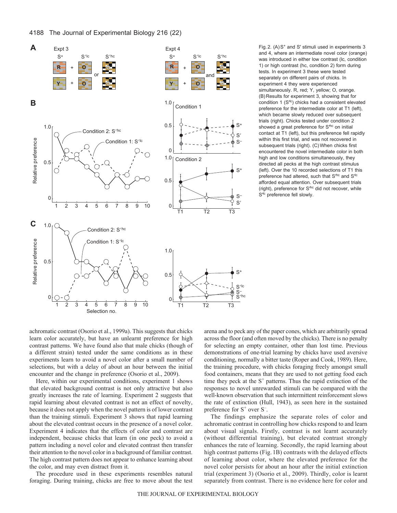



Fig. 2.  $(A)S<sup>+</sup>$  and S' stimuli used in experiments 3 and 4, where an intermediate novel color (orange) was introduced in either low contrast (lc, condition 1) or high contrast (hc, condition 2) form during tests. In experiment 3 these were tested separately on different pairs of chicks. In experiment 4 they were experienced simultaneously. R, red; Y, yellow; O, orange. (B) Results for experiment 3, showing that for condition 1  $(S<sup>1/c</sup>)$  chicks had a consistent elevated preference for the intermediate color at T1 (left), which became slowly reduced over subsequent trials (right). Chicks tested under condition 2 showed a great preference for S<sup>thc</sup> on initial contact at T1 (left), but this preference fell rapidly within this first trial, and was not recovered in subsequent trials (right). (C)When chicks first encountered the novel intermediate color in both high and low conditions simultaneously, they directed all pecks at the high contrast stimulus (left). Over the 10 recorded selections of T1 this preference had altered, such that S<sup>hc</sup> and S<sup>ic</sup> afforded equal attention. Over subsequent trials (right), preference for S<sup>hc</sup> did not recover, while S<sup>dc</sup> preference fell slowly.

achromatic contrast (Osorio et al., 1999a). This suggests that chicks learn color accurately, but have an unlearnt preference for high contrast patterns. We have found also that male chicks (though of a different strain) tested under the same conditions as in these experiments learn to avoid a novel color after a small number of selections, but with a delay of about an hour between the initial encounter and the change in preference (Osorio et al., 2009).

Here, within our experimental conditions, experiment 1 shows that elevated background contrast is not only attractive but also greatly increases the rate of learning. Experiment 2 suggests that rapid learning about elevated contrast is not an effect of novelty, because it does not apply when the novel pattern is of lower contrast than the training stimuli. Experiment 3 shows that rapid learning about the elevated contrast occurs in the presence of a novel color. Experiment 4 indicates that the effects of color and contrast are independent, because chicks that learn (in one peck) to avoid a pattern including a novel color and elevated contrast then transfer their attention to the novel color in a background of familiar contrast. The high contrast pattern does not appear to enhance learning about the color, and may even distract from it.

The procedure used in these experiments resembles natural foraging. During training, chicks are free to move about the test arena and to peck any of the paper cones, which are arbitrarily spread across the floor (and often moved by the chicks). There is no penalty for selecting an empty container, other than lost time. Previous demonstrations of one-trial learning by chicks have used aversive conditioning, normally a bitter taste (Roper and Cook, 1989). Here, the training procedure, with chicks foraging freely amongst small food containers, means that they are used to not getting food each time they peck at the  $S^+$  patterns. Thus the rapid extinction of the responses to novel unrewarded stimuli can be compared with the well-known observation that such intermittent reinforcement slows the rate of extinction (Hull, 1943), as seen here in the sustained preference for  $S^+$  over  $S^-$ .

The findings emphasize the separate roles of color and achromatic contrast in controlling how chicks respond to and learn about visual signals. Firstly, contrast is not learnt accurately (without differential training), but elevated contrast strongly enhances the rate of learning. Secondly, the rapid learning about high contrast patterns (Fig. 1B) contrasts with the delayed effects of learning about color, where the elevated preference for the novel color persists for about an hour after the initial extinction trial (experiment 3) (Osorio et al., 2009). Thirdly, color is learnt separately from contrast. There is no evidence here for color and